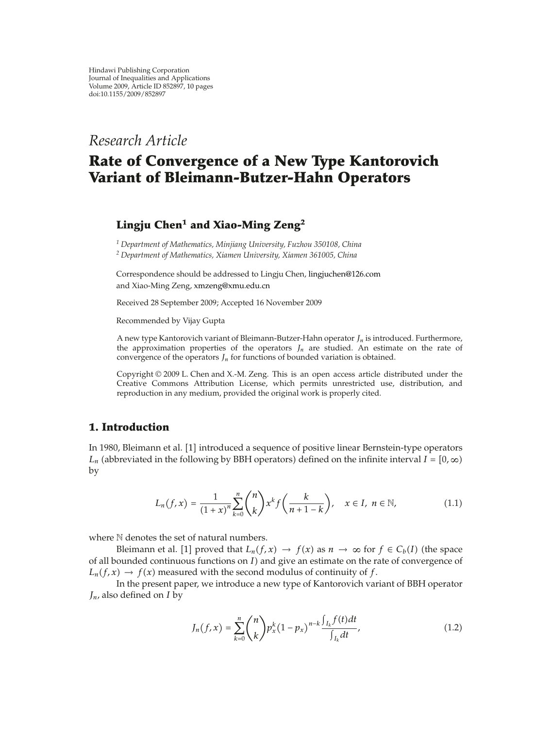*Research Article*

# **Rate of Convergence of a New Type Kantorovich Variant of Bleimann-Butzer-Hahn Operators**

## **Lingju Chen<sup>1</sup> and Xiao-Ming Zeng<sup>2</sup>**

*<sup>1</sup> Department of Mathematics, Minjiang University, Fuzhou 350108, China <sup>2</sup> Department of Mathematics, Xiamen University, Xiamen 361005, China*

Correspondence should be addressed to Lingju Chen, lingjuchen@126.com and Xiao-Ming Zeng, xmzeng@xmu.edu.cn

Received 28 September 2009; Accepted 16 November 2009

Recommended by Vijay Gupta

A new type Kantorovich variant of Bleimann-Butzer-Hahn operator *Jn* is introduced. Furthermore, the approximation properties of the operators  $J_n$  are studied. An estimate on the rate of convergence of the operators  $J_n$  for functions of bounded variation is obtained.

Copyright  $@$  2009 L. Chen and X.-M. Zeng. This is an open access article distributed under the Creative Commons Attribution License, which permits unrestricted use, distribution, and reproduction in any medium, provided the original work is properly cited.

#### **1. Introduction**

In 1980, Bleimann et al. [1] introduced a sequence of positive linear Bernstein-type operators *L<sub>n</sub>* (abbreviated in the following by BBH operators) defined on the infinite interval *I* = [0,  $\infty$ ) by

$$
L_n(f, x) = \frac{1}{(1+x)^n} \sum_{k=0}^n {n \choose k} x^k f\left(\frac{k}{n+1-k}\right), \quad x \in I, \ n \in \mathbb{N},
$$
 (1.1)

where  $N$  denotes the set of natural numbers.

Bleimann et al. [1] proved that  $L_n(f, x) \to f(x)$  as  $n \to \infty$  for  $f \in C_b(I)$  (the space of all bounded continuous functions on  $I$ ) and give an estimate on the rate of convergence of  $L_n(f, x) \to f(x)$  measured with the second modulus of continuity of f.

In the present paper, we introduce a new type of Kantorovich variant of BBH operator *Jn*, also defined on *I* by

$$
J_n(f, x) = \sum_{k=0}^n {n \choose k} p_x^k (1 - p_x)^{n-k} \frac{\int_{I_k} f(t) dt}{\int_{I_k} dt},
$$
\n(1.2)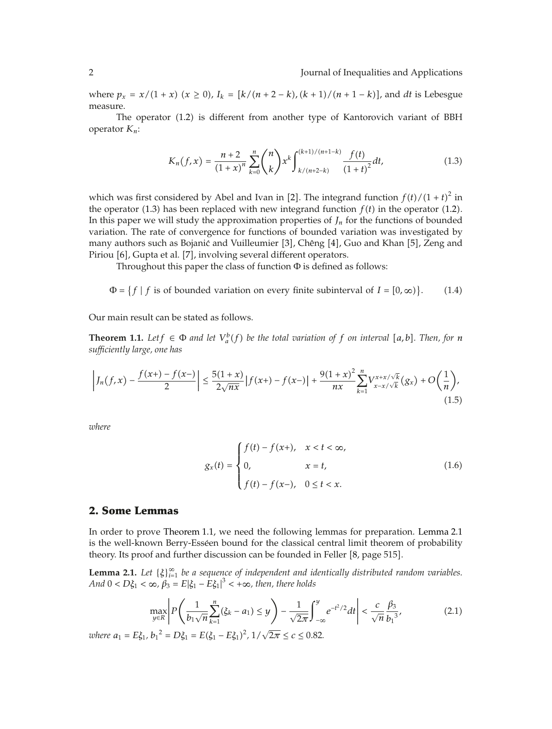where  $p_x = x/(1 + x)$   $(x \ge 0)$ ,  $I_k = [k/(n+2-k)$ ,  $(k+1)/(n+1-k)]$ , and *dt* is Lebesgue measure.

The operator 1.2 is different from another type of Kantorovich variant of BBH operator *Kn*:

$$
K_n(f, x) = \frac{n+2}{(1+x)^n} \sum_{k=0}^n {n \choose k} x^k \int_{k/(n+2-k)}^{(k+1)/(n+1-k)} \frac{f(t)}{(1+t)^2} dt,
$$
\n(1.3)

which was first considered by Abel and Ivan in [2]. The integrand function  $f(t)/(1+t)^2$  in the operator (1.3) has been replaced with new integrand function  $f(t)$  in the operator (1.2). In this paper we will study the approximation properties of  $J_n$  for the functions of bounded variation. The rate of convergence for functions of bounded variation was investigated by many authors such as Bojanić and Vuilleumier [3], Chêng [4], Guo and Khan [5], Zeng and Piriou [6], Gupta et al. [7], involving several different operators.

Throughout this paper the class of function  $\Phi$  is defined as follows:

 $\Phi = \{f \mid f \text{ is of bounded variation on every finite subinterval of } I = [0, \infty)\}\$  $(1.4)$ 

Our main result can be stated as follows.

**Theorem 1.1.** Let  $f \in \Phi$  *and let*  $V_a^b(f)$  *be the total variation of*  $f$  *on interval* [a, b]. Then, for *n sufficiently large, one has*

$$
\left|J_n(f,x) - \frac{f(x+)-f(x-)}{2}\right| \le \frac{5(1+x)}{2\sqrt{nx}} |f(x+)-f(x-)| + \frac{9(1+x)^2}{nx} \sum_{k=1}^n V_{x-x/\sqrt{k}}^{x+x/\sqrt{k}}(g_x) + O\left(\frac{1}{n}\right),\tag{1.5}
$$

*where*

$$
g_x(t) = \begin{cases} f(t) - f(x+), & x < t < \infty, \\ 0, & x = t, \\ f(t) - f(x-), & 0 \le t < x. \end{cases}
$$
(1.6)

#### **2. Some Lemmas**

In order to prove Theorem 1.1, we need the following lemmas for preparation. Lemma 2.1 is the well-known Berry-Esséen bound for the classical central limit theorem of probability theory. Its proof and further discussion can be founded in Feller [8, page 515].

**Lemma 2.1.** Let  $\{\xi\}_{i=1}^{\infty}$  be a sequence of independent and identically distributed random variables. *And*  $0 < D\xi_1 < \infty$ ,  $\beta_3 = E|\xi_1 - E\xi_1|^3 < +\infty$ , then, there holds

$$
\max_{y \in R} \left| P\left( \frac{1}{b_1 \sqrt{n}} \sum_{k=1}^n (\xi_k - a_1) \le y \right) - \frac{1}{\sqrt{2\pi}} \int_{-\infty}^y e^{-t^2/2} dt \right| < \frac{c}{\sqrt{n}} \frac{\beta_3}{b_1^{3}},\tag{2.1}
$$

*where*  $a_1 = E \xi_1$ ,  $b_1^2 = D \xi_1 = E(\xi_1 - E \xi_1)^2$ ,  $1/\sqrt{2\pi} \le c \le 0.82$ .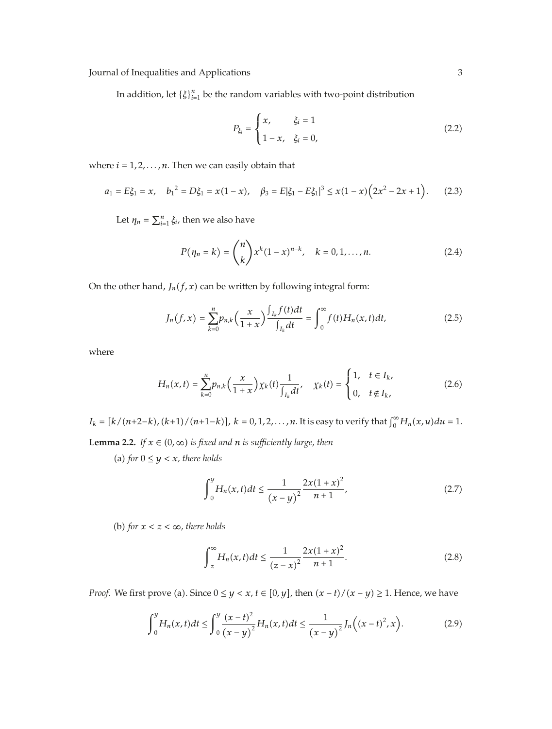In addition, let  $\{\xi\}_{i=1}^n$  be the random variables with two-point distribution

$$
P_{\xi_i} = \begin{cases} x, & \xi_i = 1 \\ 1 - x, & \xi_i = 0, \end{cases}
$$
 (2.2)

where  $i = 1, 2, \ldots, n$ . Then we can easily obtain that

$$
a_1 = E\xi_1 = x, \quad b_1^2 = D\xi_1 = x(1-x), \quad \beta_3 = E|\xi_1 - E\xi_1|^3 \le x(1-x)\left(2x^2 - 2x + 1\right). \tag{2.3}
$$

Let  $\eta_n = \sum_{i=1}^n \xi_i$ , then we also have

$$
P(\eta_n = k) = {n \choose k} x^k (1-x)^{n-k}, \quad k = 0, 1, ..., n.
$$
 (2.4)

On the other hand,  $J_n(f, x)$  can be written by following integral form:

$$
J_n(f, x) = \sum_{k=0}^n p_{n,k} \left( \frac{x}{1+x} \right) \frac{\int_{I_k} f(t) dt}{\int_{I_k} dt} = \int_0^\infty f(t) H_n(x, t) dt,
$$
 (2.5)

where

$$
H_n(x,t) = \sum_{k=0}^n p_{n,k} \left( \frac{x}{1+x} \right) \chi_k(t) \frac{1}{\int_{I_k} dt}, \quad \chi_k(t) = \begin{cases} 1, & t \in I_k, \\ 0, & t \notin I_k, \end{cases} \tag{2.6}
$$

 $I_k = [k/(n+2-k), (k+1)/(n+1-k)]$ ,  $k = 0, 1, 2, ..., n$ . It is easy to verify that  $\int_0^\infty H_n(x, u) du = 1$ .

**Lemma 2.2.** *If*  $x \in (0, \infty)$  *is fixed and n is sufficiently large, then* 

(a) for  $0 \le y < x$ , there holds

$$
\int_0^y H_n(x,t)dt \le \frac{1}{(x-y)^2} \frac{2x(1+x)^2}{n+1},\tag{2.7}
$$

(b) for  $x < z < \infty$ , there holds

$$
\int_{z}^{\infty} H_{n}(x,t)dt \le \frac{1}{(z-x)^{2}} \frac{2x(1+x)^{2}}{n+1}.
$$
 (2.8)

*Proof.* We first prove (a). Since  $0 \le y < x$ ,  $t \in [0, y]$ , then  $(x - t)/(x - y) \ge 1$ . Hence, we have

$$
\int_0^y H_n(x,t)dt \le \int_0^y \frac{(x-t)^2}{(x-y)^2}H_n(x,t)dt \le \frac{1}{(x-y)^2}J_n\Big((x-t)^2,x\Big).
$$
 (2.9)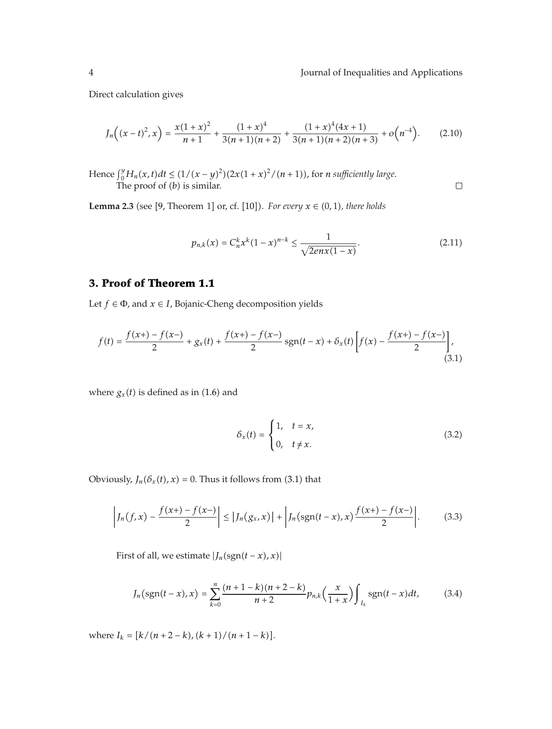$\Box$ 

Direct calculation gives

$$
J_n\left((x-t)^2,x\right) = \frac{x(1+x)^2}{n+1} + \frac{(1+x)^4}{3(n+1)(n+2)} + \frac{(1+x)^4(4x+1)}{3(n+1)(n+2)(n+3)} + o\left(n^{-4}\right). \tag{2.10}
$$

*Hence*  $\int_0^y H_n(x,t)dt$  ≤  $(1/(x - y)^2)(2x(1 + x)^2/(n + 1))$ , for *n* sufficiently large. The proof of (*b*) is similar.

**Lemma 2.3** (see [9, Theorem 1] or, cf. [10]). For every  $x \in (0,1)$ , there holds

$$
p_{n,k}(x) = C_n^k x^k (1-x)^{n-k} \le \frac{1}{\sqrt{2en(x(1-x)}}.\tag{2.11}
$$

### **3. Proof of Theorem 1.1**

Let  $f \in \Phi$ , and  $x \in I$ , Bojanic-Cheng decomposition yields

$$
f(t) = \frac{f(x+) - f(x-)}{2} + g_x(t) + \frac{f(x+) - f(x-)}{2} sgn(t-x) + \delta_x(t) \left[ f(x) - \frac{f(x+)-f(x-)}{2} \right],
$$
\n(3.1)

where  $g_x(t)$  is defined as in (1.6) and

$$
\delta_x(t) = \begin{cases} 1, & t = x, \\ 0, & t \neq x. \end{cases} \tag{3.2}
$$

Obviously,  $J_n(\delta_x(t), x) = 0$ . Thus it follows from (3.1) that

$$
\left|J_n(f,x) - \frac{f(x+)-f(x-)}{2}\right| \le |J_n(g_x,x)| + \left|J_n(\text{sgn}(t-x),x)\frac{f(x+)-f(x-)}{2}\right|.
$$
 (3.3)

First of all, we estimate  $|J_n(\text{sgn}(t - x), x)|$ 

$$
J_n\big(\text{sgn}(t-x),x\big)=\sum_{k=0}^n\frac{(n+1-k)(n+2-k)}{n+2}p_{n,k}\big(\frac{x}{1+x}\big)\int_{I_k}\text{sgn}(t-x)dt,\tag{3.4}
$$

where  $I_k = [k/(n+2-k)/(k+1)/(n+1-k)].$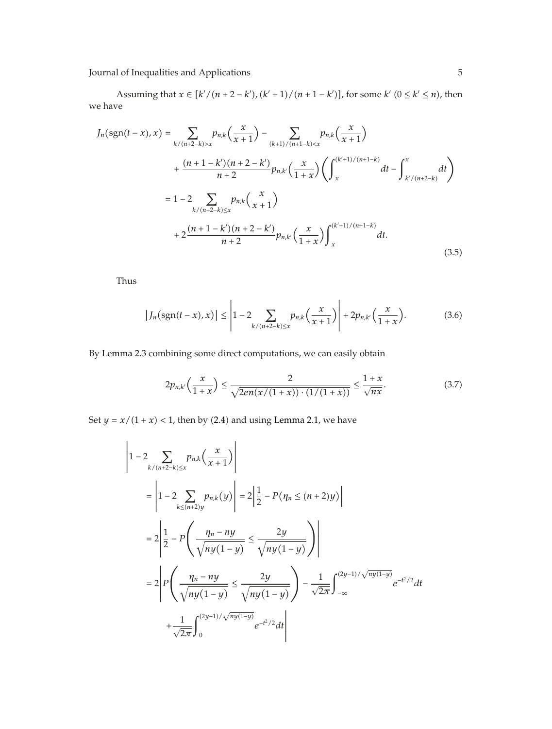Assuming that  $x \in [k'/(n+2-k'), (k'+1)/(n+1-k')]$ , for some  $k'$   $(0 \le k' \le n)$ , then we have

$$
J_n(\operatorname{sgn}(t-x), x) = \sum_{k/(n+2-k)>x} p_{n,k}\left(\frac{x}{x+1}\right) - \sum_{(k+1)/(n+1-k)  
+ 
$$
\frac{(n+1-k')(n+2-k')}{n+2} p_{n,k'}\left(\frac{x}{1+x}\right) \left(\int_x^{(k'+1)/(n+1-k)} dt - \int_{k/(n+2-k)}^x dt\right)
$$
  
= 
$$
1 - 2 \sum_{k/(n+2-k)\leq x} p_{n,k}\left(\frac{x}{x+1}\right)
$$
  
+ 
$$
2 \frac{(n+1-k')(n+2-k')}{n+2} p_{n,k'}\left(\frac{x}{1+x}\right) \int_x^{(k'+1)/(n+1-k)} dt.
$$
 (3.5)
$$

Thus

$$
|J_n(\text{sgn}(t-x),x)| \leq \left|1-2\sum_{k/(n+2-k)\leq x} p_{n,k}\left(\frac{x}{x+1}\right)\right| + 2p_{n,k'}\left(\frac{x}{1+x}\right). \tag{3.6}
$$

By Lemma 2.3 combining some direct computations, we can easily obtain

$$
2p_{n,k'}\left(\frac{x}{1+x}\right) \le \frac{2}{\sqrt{2en(x/(1+x))\cdot(1/(1+x))}} \le \frac{1+x}{\sqrt{nx}}.\tag{3.7}
$$

Set  $y = x/(1 + x) < 1$ , then by (2.4) and using Lemma 2.1, we have

$$
\begin{aligned}\n\left| 1 - 2 \sum_{k/(n+2-k) \le x} p_{n,k} \left( \frac{x}{x+1} \right) \right| \\
&= \left| 1 - 2 \sum_{k \le (n+2)y} p_{n,k}(y) \right| = 2 \left| \frac{1}{2} - P \left( \eta_n \le (n+2)y \right) \right| \\
&= 2 \left| \frac{1}{2} - P \left( \frac{\eta_n - ny}{\sqrt{ny(1-y)}} \le \frac{2y}{\sqrt{ny(1-y)}} \right) \right| \\
&= 2 \left| P \left( \frac{\eta_n - ny}{\sqrt{ny(1-y)}} \le \frac{2y}{\sqrt{ny(1-y)}} \right) - \frac{1}{\sqrt{2\pi}} \int_{-\infty}^{(2y-1)/\sqrt{ny(1-y)}} e^{-t^2/2} dt \right| \\
&+ \frac{1}{\sqrt{2\pi}} \int_{0}^{(2y-1)/\sqrt{ny(1-y)}} e^{-t^2/2} dt\n\end{aligned}
$$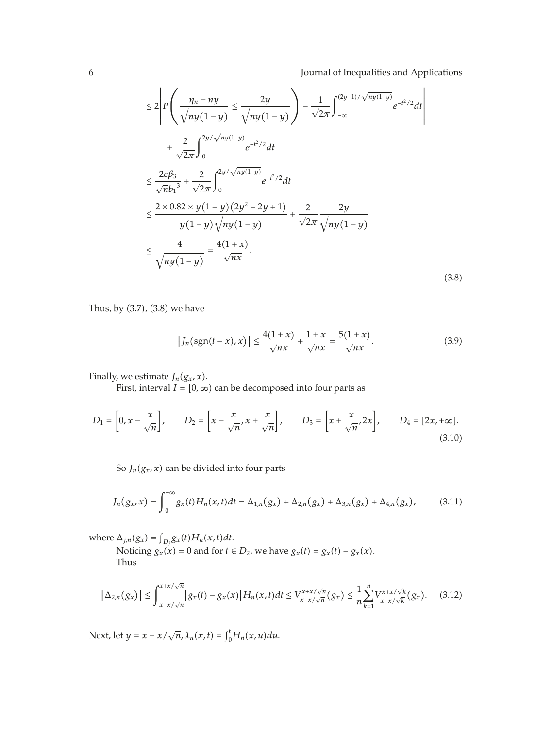$$
\leq 2 \left| P \left( \frac{\eta_n - n y}{\sqrt{n y (1 - y)}} \leq \frac{2y}{\sqrt{n y (1 - y)}} \right) - \frac{1}{\sqrt{2\pi}} \int_{-\infty}^{(2y-1)/\sqrt{n y (1 - y)}} e^{-t^2/2} dt \right|
$$
  
+ 
$$
\frac{2}{\sqrt{2\pi}} \int_{0}^{2y/\sqrt{n y (1 - y)}} e^{-t^2/2} dt
$$
  

$$
\leq \frac{2c\beta_3}{\sqrt{n b_1}^3} + \frac{2}{\sqrt{2\pi}} \int_{0}^{2y/\sqrt{n y (1 - y)}} e^{-t^2/2} dt
$$
  

$$
\leq \frac{2 \times 0.82 \times y (1 - y) (2y^2 - 2y + 1)}{y (1 - y) \sqrt{n y (1 - y)}} + \frac{2}{\sqrt{2\pi}} \frac{2y}{\sqrt{n y (1 - y)}}
$$
  

$$
\leq \frac{4}{\sqrt{n y (1 - y)}} = \frac{4(1 + x)}{\sqrt{n x}}.
$$
 (3.8)

Thus, by  $(3.7)$ ,  $(3.8)$  we have

$$
\left|J_n\left(\text{sgn}(t-x),x\right)\right| \le \frac{4(1+x)}{\sqrt{nx}} + \frac{1+x}{\sqrt{nx}} = \frac{5(1+x)}{\sqrt{nx}}.\tag{3.9}
$$

Finally, we estimate  $J_n(g_x, x)$ .

First, interval  $I = [0, \infty)$  can be decomposed into four parts as

$$
D_1 = \left[0, x - \frac{x}{\sqrt{n}}\right], \qquad D_2 = \left[x - \frac{x}{\sqrt{n}}, x + \frac{x}{\sqrt{n}}\right], \qquad D_3 = \left[x + \frac{x}{\sqrt{n}}, 2x\right], \qquad D_4 = \left[2x, +\infty\right].
$$
\n(3.10)

So  $J_n(g_x, x)$  can be divided into four parts

$$
J_n(g_x, x) = \int_0^{+\infty} g_x(t) H_n(x, t) dt = \Delta_{1,n}(g_x) + \Delta_{2,n}(g_x) + \Delta_{3,n}(g_x) + \Delta_{4,n}(g_x), \quad (3.11)
$$

where  $\Delta_{j,n}(g_x) = \int_{D_j} g_x(t) H_n(x,t) dt$ .

Noticing  $g_x(x) = 0$  and for  $t \in D_2$ , we have  $g_x(t) = g_x(t) - g_x(x)$ . Thus

$$
|\Delta_{2,n}(g_x)| \leq \int_{x-x/\sqrt{n}}^{x+x/\sqrt{n}} |g_x(t) - g_x(x)| H_n(x,t) dt \leq V_{x-x/\sqrt{n}}^{x+x/\sqrt{n}}(g_x) \leq \frac{1}{n} \sum_{k=1}^n V_{x-x/\sqrt{k}}^{x+x/\sqrt{k}}(g_x). \tag{3.12}
$$

Next, let  $y = x - x / \sqrt{n}, \lambda_n(x, t) = \int_0^t H_n(x, u) du$ .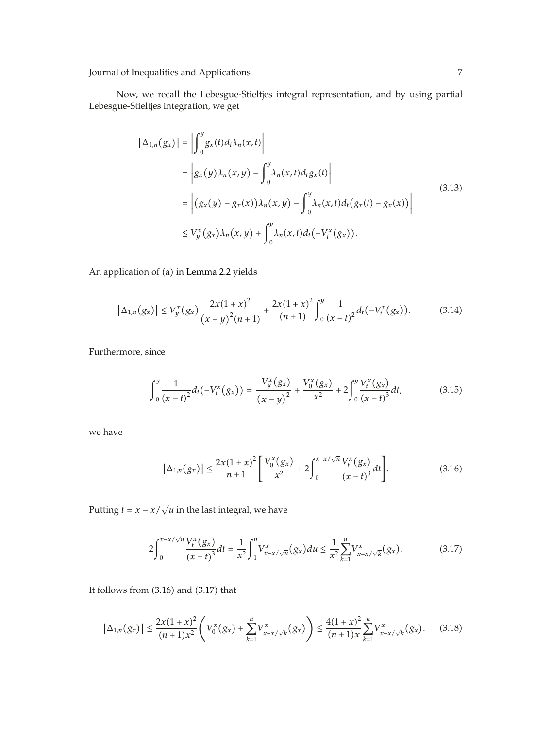I

Now, we recall the Lebesgue-Stieltjes integral representation, and by using partial Lebesgue-Stieltjes integration, we get

$$
\begin{aligned} \left| \Delta_{1,n}(g_x) \right| &= \left| \int_0^y g_x(t) d_t \lambda_n(x,t) \right| \\ &= \left| g_x(y) \lambda_n(x,y) - \int_0^y \lambda_n(x,t) d_t g_x(t) \right| \\ &= \left| (g_x(y) - g_x(x)) \lambda_n(x,y) - \int_0^y \lambda_n(x,t) d_t (g_x(t) - g_x(x)) \right| \\ &\le V_y^x(g_x) \lambda_n(x,y) + \int_0^y \lambda_n(x,t) d_t (-V_t^x(g_x)). \end{aligned} \tag{3.13}
$$

An application of (a) in Lemma 2.2 yields

$$
\left|\Delta_{1,n}(g_x)\right| \le V_y^x(g_x)\frac{2x(1+x)^2}{(x-y)^2(n+1)} + \frac{2x(1+x)^2}{(n+1)}\int_0^y \frac{1}{(x-t)^2}d_t(-V_t^x(g_x)).\tag{3.14}
$$

Furthermore, since

$$
\int_0^y \frac{1}{(x-t)^2} d_t(-V_t^x(g_x)) = \frac{-V_y^x(g_x)}{(x-y)^2} + \frac{V_0^x(g_x)}{x^2} + 2\int_0^y \frac{V_t^x(g_x)}{(x-t)^3} dt,
$$
\n(3.15)

we have

$$
|\Delta_{1,n}(g_x)| \le \frac{2x(1+x)^2}{n+1} \left[ \frac{V_0^x(g_x)}{x^2} + 2 \int_0^{x-x/\sqrt{n}} \frac{V_t^x(g_x)}{(x-t)^3} dt \right].
$$
 (3.16)

Putting *t* =  $x - x/\sqrt{u}$  in the last integral, we have

$$
2\int_0^{x-x/\sqrt{n}} \frac{V_t^x(g_x)}{(x-t)^3} dt = \frac{1}{x^2} \int_1^n V_{x-x/\sqrt{u}}^x(g_x) du \le \frac{1}{x^2} \sum_{k=1}^n V_{x-x/\sqrt{k}}^x(g_x).
$$
 (3.17)

It follows from  $(3.16)$  and  $(3.17)$  that

$$
\left|\Delta_{1,n}(g_x)\right| \leq \frac{2x(1+x)^2}{(n+1)x^2} \left(V_0^x(g_x) + \sum_{k=1}^n V_{x-x/\sqrt{k}}^x(g_x)\right) \leq \frac{4(1+x)^2}{(n+1)x} \sum_{k=1}^n V_{x-x/\sqrt{k}}^x(g_x). \tag{3.18}
$$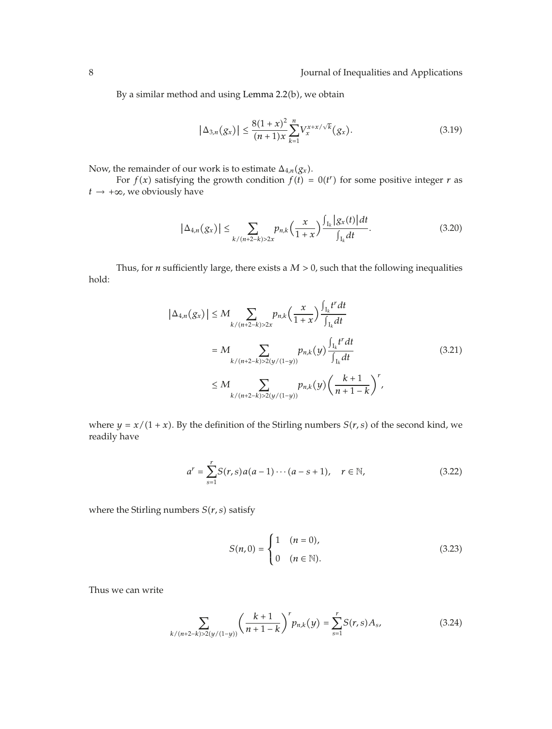By a similar method and using Lemma 2.2(b), we obtain

$$
|\Delta_{3,n}(g_x)| \le \frac{8(1+x)^2}{(n+1)x} \sum_{k=1}^n V_x^{x+x/\sqrt{k}}(g_x). \tag{3.19}
$$

Now, the remainder of our work is to estimate  $\Delta_{4,n}(g_x)$ .

For  $f(x)$  satisfying the growth condition  $f(t) = 0(t^r)$  for some positive integer *r* as  $t \rightarrow +\infty$ , we obviously have

$$
|\Delta_{4,n}(g_x)| \leq \sum_{k/(n+2-k)>2x} p_{n,k}\left(\frac{x}{1+x}\right) \frac{\int_{I_k} |g_x(t)| dt}{\int_{I_k} dt}.
$$
 (3.20)

Thus, for *n* sufficiently large, there exists a  $M > 0$ , such that the following inequalities hold:

$$
|\Delta_{4,n}(g_x)| \le M \sum_{k/(n+2-k)>2x} p_{n,k} \left(\frac{x}{1+x}\right) \frac{\int_{I_k} t^r dt}{\int_{I_k} dt}
$$
  
=  $M \sum_{k/(n+2-k)>2(y/(1-y))} p_{n,k}(y) \frac{\int_{I_k} t^r dt}{\int_{I_k} dt}$   
 $\le M \sum_{k/(n+2-k)>2(y/(1-y))} p_{n,k}(y) \left(\frac{k+1}{n+1-k}\right)^r,$  (3.21)

where  $y = x/(1 + x)$ . By the definition of the Stirling numbers  $S(r, s)$  of the second kind, we readily have

$$
a^{r} = \sum_{s=1}^{r} S(r, s) a(a-1) \cdots (a-s+1), \quad r \in \mathbb{N},
$$
 (3.22)

where the Stirling numbers  $S(r, s)$  satisfy

$$
S(n,0) = \begin{cases} 1 & (n = 0), \\ 0 & (n \in \mathbb{N}). \end{cases}
$$
 (3.23)

Thus we can write

$$
\sum_{k/(n+2-k)>2(y/(1-y))} \left(\frac{k+1}{n+1-k}\right)^r p_{n,k}(y) = \sum_{s=1}^r S(r,s)A_s,
$$
\n(3.24)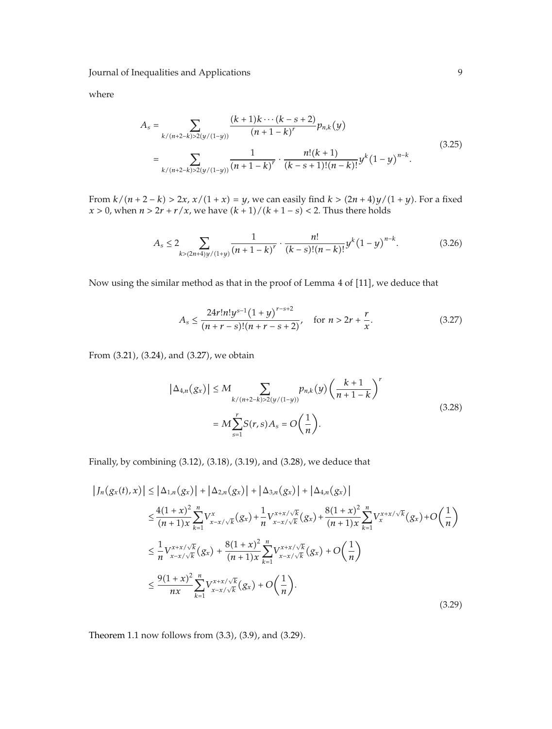where

$$
A_s = \sum_{k/(n+2-k)>2(y/(1-y))} \frac{(k+1)k\cdots(k-s+2)}{(n+1-k)^r} p_{n,k}(y)
$$
  
= 
$$
\sum_{k/(n+2-k)>2(y/(1-y))} \frac{1}{(n+1-k)^r} \cdot \frac{n!(k+1)}{(k-s+1)!(n-k)!} y^k (1-y)^{n-k}.
$$
 (3.25)

From  $k/(n+2-k) > 2x$ ,  $x/(1+x) = y$ , we can easily find  $k > (2n+4)y/(1+y)$ . For a fixed *x* > 0, when  $n > 2r + r/x$ , we have  $(k + 1)/(k + 1 - s) < 2$ . Thus there holds

$$
A_s \le 2 \sum_{k > (2n+4)y/(1+y)} \frac{1}{(n+1-k)^r} \cdot \frac{n!}{(k-s)!(n-k)!} y^k (1-y)^{n-k}.
$$
 (3.26)

Now using the similar method as that in the proof of Lemma  $4$  of  $[11]$ , we deduce that

$$
A_s \le \frac{24r!n!y^{s-1}(1+y)^{r-s+2}}{(n+r-s)!(n+r-s+2)}, \quad \text{for } n > 2r + \frac{r}{x}.\tag{3.27}
$$

From (3.21), (3.24), and (3.27), we obtain

$$
|\Delta_{4,n}(g_x)| \le M \sum_{k/(n+2-k) > 2(y/(1-y))} p_{n,k}(y) \left(\frac{k+1}{n+1-k}\right)^r
$$
  
=  $M \sum_{s=1}^r S(r,s) A_s = O\left(\frac{1}{n}\right).$  (3.28)

Finally, by combining  $(3.12)$ ,  $(3.18)$ ,  $(3.19)$ , and  $(3.28)$ , we deduce that

$$
\left|J_{n}(g_{x}(t),x)\right| \leq \left|\Delta_{1,n}(g_{x})\right| + \left|\Delta_{2,n}(g_{x})\right| + \left|\Delta_{3,n}(g_{x})\right| + \left|\Delta_{4,n}(g_{x})\right|
$$
  
\n
$$
\leq \frac{4(1+x)^{2}}{(n+1)x} \sum_{k=1}^{n} V_{x-x/\sqrt{k}}^{x} (g_{x}) + \frac{1}{n} V_{x-x/\sqrt{k}}^{x+x/\sqrt{k}} (g_{x}) + \frac{8(1+x)^{2}}{(n+1)x} \sum_{k=1}^{n} V_{x}^{x+x/\sqrt{k}} (g_{x}) + O\left(\frac{1}{n}\right)
$$
  
\n
$$
\leq \frac{1}{n} V_{x-x/\sqrt{k}}^{x+x/\sqrt{k}} (g_{x}) + \frac{8(1+x)^{2}}{(n+1)x} \sum_{k=1}^{n} V_{x-x/\sqrt{k}}^{x+x/\sqrt{k}} (g_{x}) + O\left(\frac{1}{n}\right)
$$
  
\n
$$
\leq \frac{9(1+x)^{2}}{nx} \sum_{k=1}^{n} V_{x-x/\sqrt{k}}^{x+x/\sqrt{k}} (g_{x}) + O\left(\frac{1}{n}\right).
$$
\n(3.29)

Theorem 1.1 now follows from  $(3.3)$ ,  $(3.9)$ , and  $(3.29)$ .